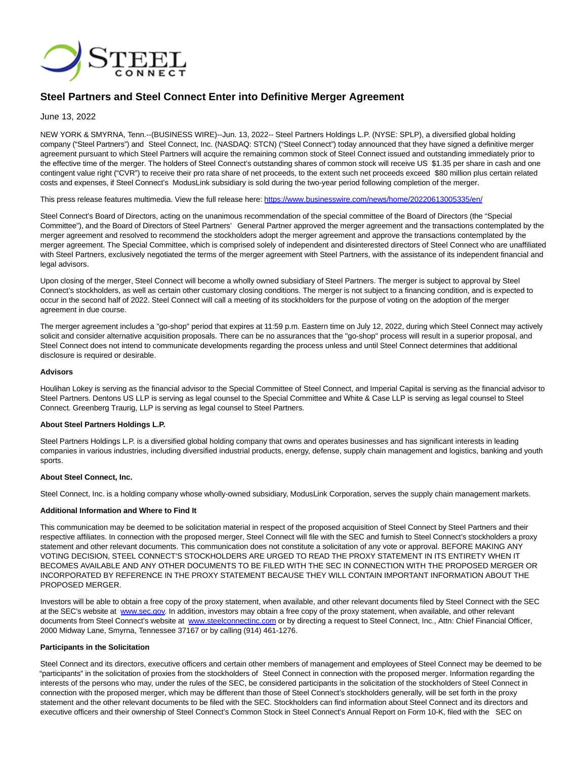

# **Steel Partners and Steel Connect Enter into Definitive Merger Agreement**

## June 13, 2022

NEW YORK & SMYRNA, Tenn.--(BUSINESS WIRE)--Jun. 13, 2022-- Steel Partners Holdings L.P. (NYSE: SPLP), a diversified global holding company ("Steel Partners") and Steel Connect, Inc. (NASDAQ: STCN) ("Steel Connect") today announced that they have signed a definitive merger agreement pursuant to which Steel Partners will acquire the remaining common stock of Steel Connect issued and outstanding immediately prior to the effective time of the merger. The holders of Steel Connect's outstanding shares of common stock will receive US \$1.35 per share in cash and one contingent value right ("CVR") to receive their pro rata share of net proceeds, to the extent such net proceeds exceed \$80 million plus certain related costs and expenses, if Steel Connect's ModusLink subsidiary is sold during the two-year period following completion of the merger.

This press release features multimedia. View the full release here:<https://www.businesswire.com/news/home/20220613005335/en/>

Steel Connect's Board of Directors, acting on the unanimous recommendation of the special committee of the Board of Directors (the "Special Committee"), and the Board of Directors of Steel Partners' General Partner approved the merger agreement and the transactions contemplated by the merger agreement and resolved to recommend the stockholders adopt the merger agreement and approve the transactions contemplated by the merger agreement. The Special Committee, which is comprised solely of independent and disinterested directors of Steel Connect who are unaffiliated with Steel Partners, exclusively negotiated the terms of the merger agreement with Steel Partners, with the assistance of its independent financial and legal advisors.

Upon closing of the merger, Steel Connect will become a wholly owned subsidiary of Steel Partners. The merger is subject to approval by Steel Connect's stockholders, as well as certain other customary closing conditions. The merger is not subject to a financing condition, and is expected to occur in the second half of 2022. Steel Connect will call a meeting of its stockholders for the purpose of voting on the adoption of the merger agreement in due course.

The merger agreement includes a "go-shop" period that expires at 11:59 p.m. Eastern time on July 12, 2022, during which Steel Connect may actively solicit and consider alternative acquisition proposals. There can be no assurances that the "go-shop" process will result in a superior proposal, and Steel Connect does not intend to communicate developments regarding the process unless and until Steel Connect determines that additional disclosure is required or desirable.

### **Advisors**

Houlihan Lokey is serving as the financial advisor to the Special Committee of Steel Connect, and Imperial Capital is serving as the financial advisor to Steel Partners. Dentons US LLP is serving as legal counsel to the Special Committee and White & Case LLP is serving as legal counsel to Steel Connect. Greenberg Traurig, LLP is serving as legal counsel to Steel Partners.

### **About Steel Partners Holdings L.P.**

Steel Partners Holdings L.P. is a diversified global holding company that owns and operates businesses and has significant interests in leading companies in various industries, including diversified industrial products, energy, defense, supply chain management and logistics, banking and youth sports.

### **About Steel Connect, Inc.**

Steel Connect, Inc. is a holding company whose wholly-owned subsidiary, ModusLink Corporation, serves the supply chain management markets.

### **Additional Information and Where to Find It**

This communication may be deemed to be solicitation material in respect of the proposed acquisition of Steel Connect by Steel Partners and their respective affiliates. In connection with the proposed merger, Steel Connect will file with the SEC and furnish to Steel Connect's stockholders a proxy statement and other relevant documents. This communication does not constitute a solicitation of any vote or approval. BEFORE MAKING ANY VOTING DECISION, STEEL CONNECT'S STOCKHOLDERS ARE URGED TO READ THE PROXY STATEMENT IN ITS ENTIRETY WHEN IT BECOMES AVAILABLE AND ANY OTHER DOCUMENTS TO BE FILED WITH THE SEC IN CONNECTION WITH THE PROPOSED MERGER OR INCORPORATED BY REFERENCE IN THE PROXY STATEMENT BECAUSE THEY WILL CONTAIN IMPORTANT INFORMATION ABOUT THE PROPOSED MERGER.

Investors will be able to obtain a free copy of the proxy statement, when available, and other relevant documents filed by Steel Connect with the SEC at the SEC's website at [www.sec.gov.](https://cts.businesswire.com/ct/CT?id=smartlink&url=http%3A%2F%2Fwww.sec.gov&esheet=52747396&newsitemid=20220613005335&lan=en-US&anchor=www.sec.gov&index=1&md5=09600e37cf475750847beb6450d591d7) In addition, investors may obtain a free copy of the proxy statement, when available, and other relevant documents from Steel Connect's website at [www.steelconnectinc.com o](https://cts.businesswire.com/ct/CT?id=smartlink&url=http%3A%2F%2Fwww.steelconnectinc.com&esheet=52747396&newsitemid=20220613005335&lan=en-US&anchor=www.steelconnectinc.com&index=2&md5=8d5a1f016f44b76e6c9db5bca9f511e6)r by directing a request to Steel Connect, Inc., Attn: Chief Financial Officer, 2000 Midway Lane, Smyrna, Tennessee 37167 or by calling (914) 461-1276.

#### **Participants in the Solicitation**

Steel Connect and its directors, executive officers and certain other members of management and employees of Steel Connect may be deemed to be "participants" in the solicitation of proxies from the stockholders of Steel Connect in connection with the proposed merger. Information regarding the interests of the persons who may, under the rules of the SEC, be considered participants in the solicitation of the stockholders of Steel Connect in connection with the proposed merger, which may be different than those of Steel Connect's stockholders generally, will be set forth in the proxy statement and the other relevant documents to be filed with the SEC. Stockholders can find information about Steel Connect and its directors and executive officers and their ownership of Steel Connect's Common Stock in Steel Connect's Annual Report on Form 10-K, filed with the SEC on